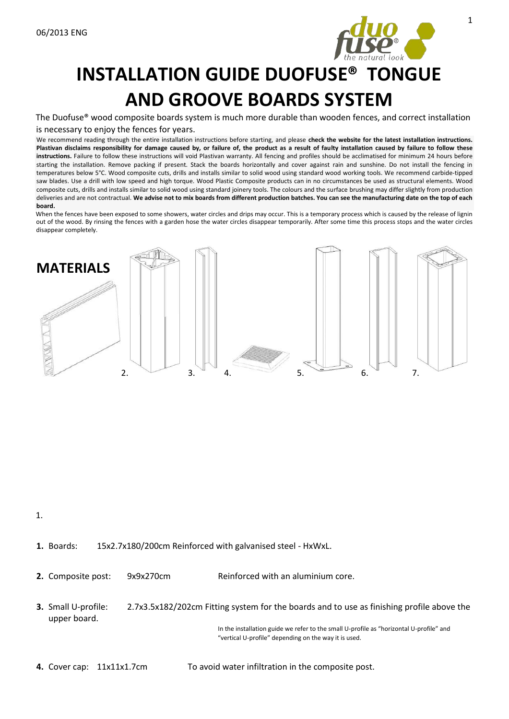

# **INSTALLATION GUIDE DUOFUSE® TONGUE AND GROOVE BOARDS SYSTEM**

The Duofuse® wood composite boards system is much more durable than wooden fences, and correct installation

#### is necessary to enjoy the fences for years.

We recommend reading through the entire installation instructions before starting, and please **check the website for the latest installation instructions. Plastivan disclaims responsibility for damage caused by, or failure of, the product as a result of faulty installation caused by failure to follow these instructions.** Failure to follow these instructions will void Plastivan warranty. All fencing and profiles should be acclimatised for minimum 24 hours before starting the installation. Remove packing if present. Stack the boards horizontally and cover against rain and sunshine. Do not install the fencing in temperatures below 5°C. Wood composite cuts, drills and installs similar to solid wood using standard wood working tools. We recommend carbide-tipped saw blades. Use a drill with low speed and high torque. Wood Plastic Composite products can in no circumstances be used as structural elements. Wood composite cuts, drills and installs similar to solid wood using standard joinery tools. The colours and the surface brushing may differ slightly from production deliveries and are not contractual. **We advise not to mix boards from different production batches. You can see the manufacturing date on the top of each board.** 

When the fences have been exposed to some showers, water circles and drips may occur. This is a temporary process which is caused by the release of lignin out of the wood. By rinsing the fences with a garden hose the water circles disappear temporarily. After some time this process stops and the water circles disappear completely.



1.

#### **1.** Boards: 15x2.7x180/200cm Reinforced with galvanised steel - HxWxL.

**2.** Composite post: 9x9x270cm Reinforced with an aluminium core.

**3.** Small U-profile: 2.7x3.5x182/202cm Fitting system for the boards and to use as finishing profile above the upper board.

> In the installation guide we refer to the small U-profile as "horizontal U-profile" and "vertical U-profile" depending on the way it is used.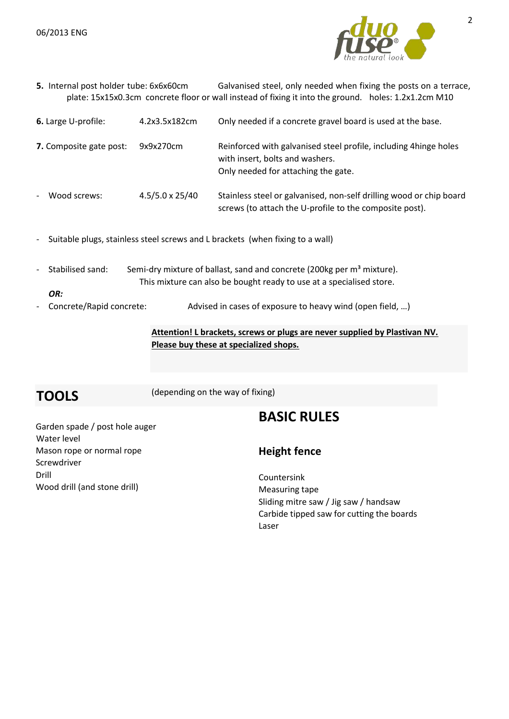

**5.** Internal post holder tube: 6x6x60cm Galvanised steel, only needed when fixing the posts on a terrace, plate: 15x15x0.3cm concrete floor or wall instead of fixing it into the ground. holes: 1.2x1.2cm M10

| 6. Large U-profile:                      | 4.2x3.5x182cm          | Only needed if a concrete gravel board is used at the base.                                                                                |
|------------------------------------------|------------------------|--------------------------------------------------------------------------------------------------------------------------------------------|
| 7. Composite gate post:                  | 9x9x270cm              | Reinforced with galvanised steel profile, including 4hinge holes<br>with insert, bolts and washers.<br>Only needed for attaching the gate. |
| Wood screws:<br>$\overline{\phantom{a}}$ | $4.5/5.0 \times 25/40$ | Stainless steel or galvanised, non-self drilling wood or chip board<br>screws (to attach the U-profile to the composite post).             |

- Suitable plugs, stainless steel screws and L brackets (when fixing to a wall)
- Stabilised sand: Semi-dry mixture of ballast, sand and concrete (200kg per m<sup>3</sup> mixture). This mixture can also be bought ready to use at a specialised store.
- Concrete/Rapid concrete: Advised in cases of exposure to heavy wind (open field, ...)

**Attention! L brackets, screws or plugs are never supplied by Plastivan NV. Please buy these at specialized shops.**

*OR:* 

**TOOLS** (depending on the way of fixing)

# **BASIC RULES**

Garden spade / post hole auger Water level Mason rope or normal rope Screwdriver Drill Wood drill (and stone drill)

### **Height fence**

Countersink Measuring tape Sliding mitre saw / Jig saw / handsaw Carbide tipped saw for cutting the boards Laser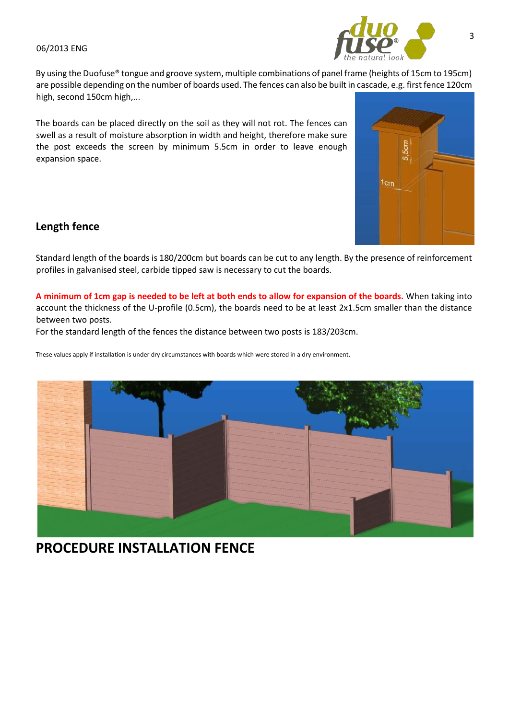

By using the Duofuse® tongue and groove system, multiple combinations of panel frame (heights of 15cm to 195cm) are possible depending on the number of boards used. The fences can also be built in cascade, e.g. first fence 120cm high, second 150cm high,...

The boards can be placed directly on the soil as they will not rot. The fences can swell as a result of moisture absorption in width and height, therefore make sure the post exceeds the screen by minimum 5.5cm in order to leave enough expansion space.



# **Length fence**

Standard length of the boards is 180/200cm but boards can be cut to any length. By the presence of reinforcement profiles in galvanised steel, carbide tipped saw is necessary to cut the boards.

**A minimum of 1cm gap is needed to be left at both ends to allow for expansion of the boards.** When taking into account the thickness of the U-profile (0.5cm), the boards need to be at least 2x1.5cm smaller than the distance between two posts.

For the standard length of the fences the distance between two posts is 183/203cm.

These values apply if installation is under dry circumstances with boards which were stored in a dry environment.



# **PROCEDURE INSTALLATION FENCE**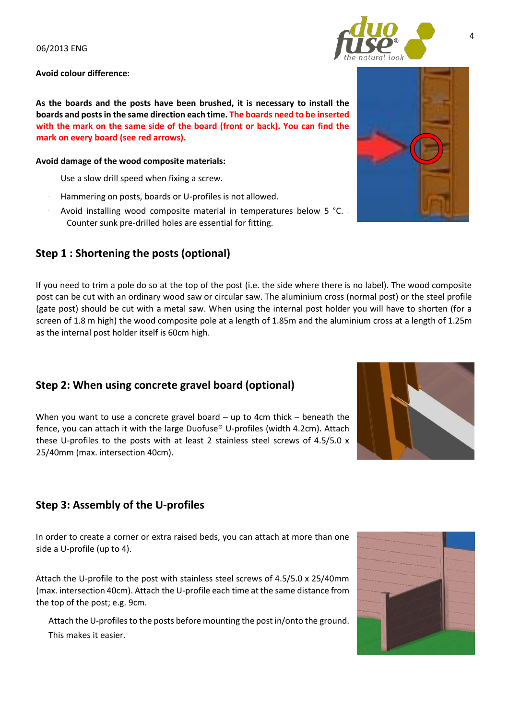**Avoid colour difference:**

**As the boards and the posts have been brushed, it is necessary to install the boards and posts in the same direction each time. The boards need to be inserted with the mark on the same side of the board (front or back). You can find the mark on every board (see red arrows).** 

#### **Avoid damage of the wood composite materials:**

- Use a slow drill speed when fixing a screw.
- Hammering on posts, boards or U-profiles is not allowed.
- Avoid installing wood composite material in temperatures below 5 °C. -Counter sunk pre-drilled holes are essential for fitting.

# **Step 1 : Shortening the posts (optional)**

If you need to trim a pole do so at the top of the post (i.e. the side where there is no label). The wood composite post can be cut with an ordinary wood saw or circular saw. The aluminium cross (normal post) or the steel profile (gate post) should be cut with a metal saw. When using the internal post holder you will have to shorten (for a screen of 1.8 m high) the wood composite pole at a length of 1.85m and the aluminium cross at a length of 1.25m as the internal post holder itself is 60cm high.

# **Step 2: When using concrete gravel board (optional)**

When you want to use a concrete gravel board – up to 4cm thick – beneath the fence, you can attach it with the large Duofuse® U-profiles (width 4.2cm). Attach these U-profiles to the posts with at least 2 stainless steel screws of 4.5/5.0 x 25/40mm (max. intersection 40cm).

# **Step 3: Assembly of the U-profiles**

In order to create a corner or extra raised beds, you can attach at more than one side a U-profile (up to 4).

Attach the U-profile to the post with stainless steel screws of 4.5/5.0 x 25/40mm (max. intersection 40cm). Attach the U-profile each time at the same distance from the top of the post; e.g. 9cm.

Attach the U-profiles to the posts before mounting the post in/onto the ground. This makes it easier.







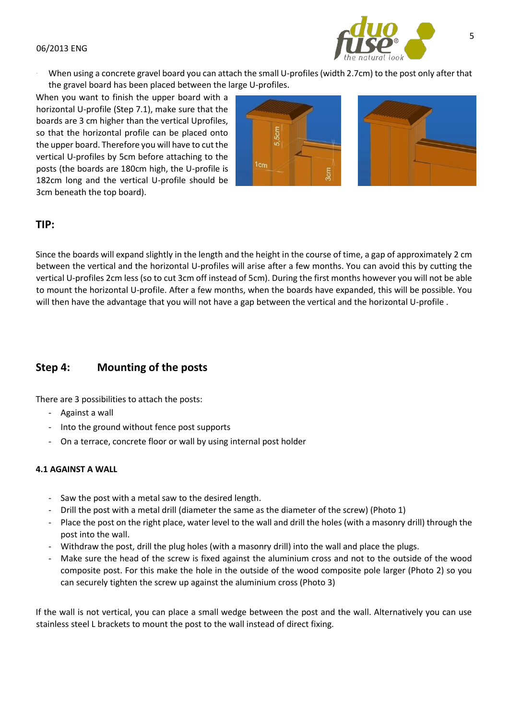

When using a concrete gravel board you can attach the small U-profiles (width 2.7cm) to the post only after that the gravel board has been placed between the large U-profiles.

When you want to finish the upper board with a horizontal U-profile (Step 7.1), make sure that the boards are 3 cm higher than the vertical Uprofiles, so that the horizontal profile can be placed onto the upper board. Therefore you will have to cut the vertical U-profiles by 5cm before attaching to the posts (the boards are 180cm high, the U-profile is 182cm long and the vertical U-profile should be 3cm beneath the top board).

|                 | 5,5cm |  |
|-----------------|-------|--|
|                 |       |  |
| 1 <sub>cm</sub> |       |  |



# **TIP:**

Since the boards will expand slightly in the length and the height in the course of time, a gap of approximately 2 cm between the vertical and the horizontal U-profiles will arise after a few months. You can avoid this by cutting the vertical U-profiles 2cm less (so to cut 3cm off instead of 5cm). During the first months however you will not be able to mount the horizontal U-profile. After a few months, when the boards have expanded, this will be possible. You will then have the advantage that you will not have a gap between the vertical and the horizontal U-profile .

# **Step 4: Mounting of the posts**

There are 3 possibilities to attach the posts:

- Against a wall
- Into the ground without fence post supports
- On a terrace, concrete floor or wall by using internal post holder

#### **4.1 AGAINST A WALL**

- Saw the post with a metal saw to the desired length.
- Drill the post with a metal drill (diameter the same as the diameter of the screw) (Photo 1)
- Place the post on the right place, water level to the wall and drill the holes (with a masonry drill) through the post into the wall.
- Withdraw the post, drill the plug holes (with a masonry drill) into the wall and place the plugs.
- Make sure the head of the screw is fixed against the aluminium cross and not to the outside of the wood composite post. For this make the hole in the outside of the wood composite pole larger (Photo 2) so you can securely tighten the screw up against the aluminium cross (Photo 3)

If the wall is not vertical, you can place a small wedge between the post and the wall. Alternatively you can use stainless steel L brackets to mount the post to the wall instead of direct fixing.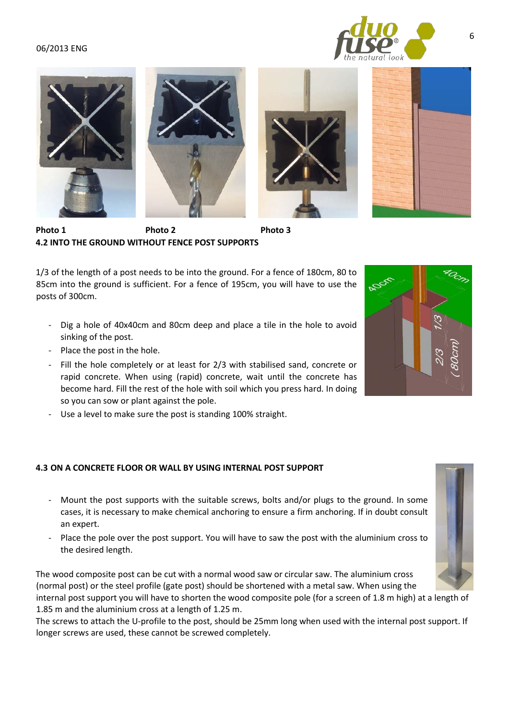





6

Photo 1 **Photo 2** Photo 3 **4.2 INTO THE GROUND WITHOUT FENCE POST SUPPORTS** 

1/3 of the length of a post needs to be into the ground. For a fence of 180cm, 80 to 85cm into the ground is sufficient. For a fence of 195cm, you will have to use the posts of 300cm.

- Dig a hole of 40x40cm and 80cm deep and place a tile in the hole to avoid sinking of the post.
- Place the post in the hole.
- Fill the hole completely or at least for 2/3 with stabilised sand, concrete or rapid concrete. When using (rapid) concrete, wait until the concrete has become hard. Fill the rest of the hole with soil which you press hard. In doing so you can sow or plant against the pole.
- Use a level to make sure the post is standing 100% straight.

#### **4.3 ON A CONCRETE FLOOR OR WALL BY USING INTERNAL POST SUPPORT**

- Mount the post supports with the suitable screws, bolts and/or plugs to the ground. In some cases, it is necessary to make chemical anchoring to ensure a firm anchoring. If in doubt consult an expert.
- Place the pole over the post support. You will have to saw the post with the aluminium cross to the desired length.

The wood composite post can be cut with a normal wood saw or circular saw. The aluminium cross (normal post) or the steel profile (gate post) should be shortened with a metal saw. When using the

internal post support you will have to shorten the wood composite pole (for a screen of 1.8 m high) at a length of 1.85 m and the aluminium cross at a length of 1.25 m.

The screws to attach the U-profile to the post, should be 25mm long when used with the internal post support. If longer screws are used, these cannot be screwed completely.



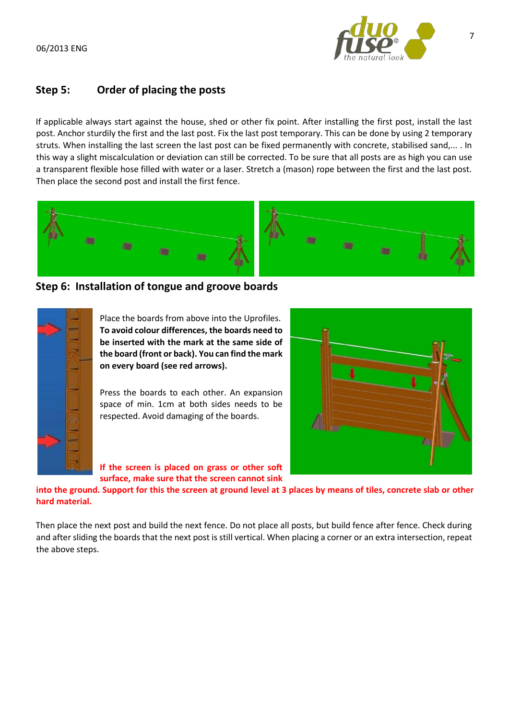

# **Step 5: Order of placing the posts**

If applicable always start against the house, shed or other fix point. After installing the first post, install the last post. Anchor sturdily the first and the last post. Fix the last post temporary. This can be done by using 2 temporary struts. When installing the last screen the last post can be fixed permanently with concrete, stabilised sand,... . In this way a slight miscalculation or deviation can still be corrected. To be sure that all posts are as high you can use a transparent flexible hose filled with water or a laser. Stretch a (mason) rope between the first and the last post. Then place the second post and install the first fence.



**Step 6: Installation of tongue and groove boards**



Place the boards from above into the Uprofiles. **To avoid colour differences, the boards need to be inserted with the mark at the same side of the board (front or back). You can find the mark on every board (see red arrows).** 

Press the boards to each other. An expansion space of min. 1cm at both sides needs to be respected. Avoid damaging of the boards.



**If the screen is placed on grass or other soft surface, make sure that the screen cannot sink** 

**into the ground. Support for this the screen at ground level at 3 places by means of tiles, concrete slab or other hard material.** 

Then place the next post and build the next fence. Do not place all posts, but build fence after fence. Check during and after sliding the boards that the next post is still vertical. When placing a corner or an extra intersection, repeat the above steps.